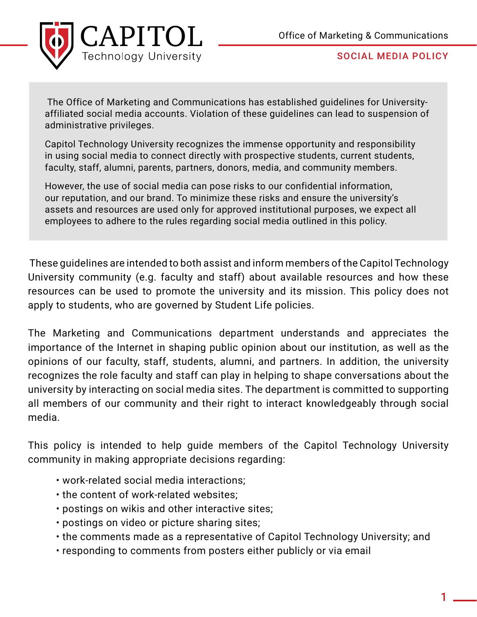

 The Office of Marketing and Communications has established guidelines for Universityaffiliated social media accounts. Violation of these guidelines can lead to suspension of administrative privileges.

Capitol Technology University recognizes the immense opportunity and responsibility in using social media to connect directly with prospective students, current students, faculty, staff, alumni, parents, partners, donors, media, and community members.

However, the use of social media can pose risks to our confidential information, our reputation, and our brand. To minimize these risks and ensure the university's assets and resources are used only for approved institutional purposes, we expect all employees to adhere to the rules regarding social media outlined in this policy.

 These guidelines are intended to both assist and inform members of the Capitol Technology University community (e.g. faculty and staff) about available resources and how these resources can be used to promote the university and its mission. This policy does not apply to students, who are governed by Student Life policies.

The Marketing and Communications department understands and appreciates the importance of the Internet in shaping public opinion about our institution, as well as the opinions of our faculty, staff, students, alumni, and partners. In addition, the university recognizes the role faculty and staff can play in helping to shape conversations about the university by interacting on social media sites. The department is committed to supporting all members of our community and their right to interact knowledgeably through social media.

This policy is intended to help guide members of the Capitol Technology University community in making appropriate decisions regarding:

- work-related social media interactions;
- the content of work-related websites;
- postings on wikis and other interactive sites;
- postings on video or picture sharing sites;
- the comments made as a representative of Capitol Technology University; and
- responding to comments from posters either publicly or via email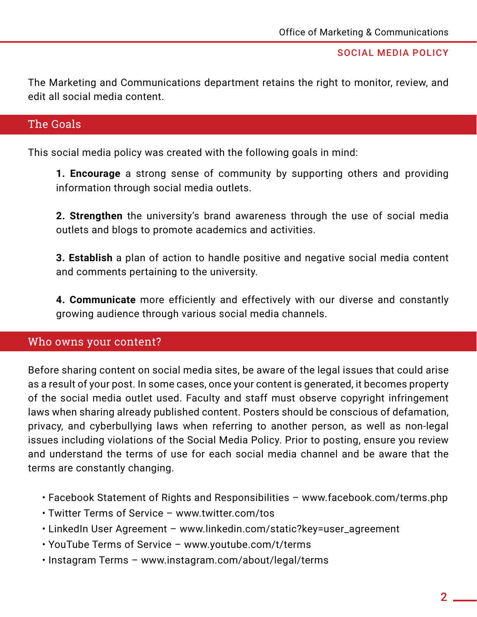The Marketing and Communications department retains the right to monitor, review, and edit all social media content.

# The Goals

This social media policy was created with the following goals in mind:

**1. Encourage** a strong sense of community by supporting others and providing information through social media outlets.

**2. Strengthen** the university's brand awareness through the use of social media outlets and blogs to promote academics and activities.

**3. Establish** a plan of action to handle positive and negative social media content and comments pertaining to the university.

**4. Communicate** more efficiently and effectively with our diverse and constantly growing audience through various social media channels.

## Who owns your content?

Before sharing content on social media sites, be aware of the legal issues that could arise as a result of your post. In some cases, once your content is generated, it becomes property of the social media outlet used. Faculty and staff must observe copyright infringement laws when sharing already published content. Posters should be conscious of defamation, privacy, and cyberbullying laws when referring to another person, as well as non-legal issues including violations of the Social Media Policy. Prior to posting, ensure you review and understand the terms of use for each social media channel and be aware that the terms are constantly changing.

- Facebook Statement of Rights and Responsibilities www.facebook.com/terms.php
- Twitter Terms of Service www.twitter.com/tos
- LinkedIn User Agreement www.linkedin.com/static?key=user\_agreement
- YouTube Terms of Service www.youtube.com/t/terms
- Instagram Terms www.instagram.com/about/legal/terms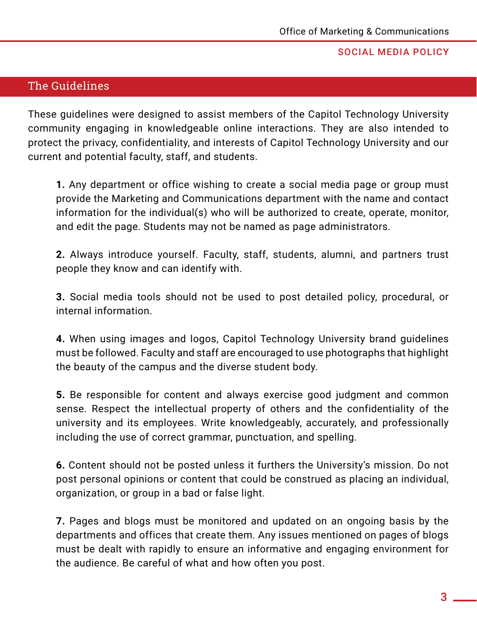# The Guidelines

These guidelines were designed to assist members of the Capitol Technology University community engaging in knowledgeable online interactions. They are also intended to protect the privacy, confidentiality, and interests of Capitol Technology University and our current and potential faculty, staff, and students.

**1.** Any department or office wishing to create a social media page or group must provide the Marketing and Communications department with the name and contact information for the individual(s) who will be authorized to create, operate, monitor, and edit the page. Students may not be named as page administrators.

**2.** Always introduce yourself. Faculty, staff, students, alumni, and partners trust people they know and can identify with.

**3.** Social media tools should not be used to post detailed policy, procedural, or internal information.

**4.** When using images and logos, Capitol Technology University brand guidelines must be followed. Faculty and staff are encouraged to use photographs that highlight the beauty of the campus and the diverse student body.

**5.** Be responsible for content and always exercise good judgment and common sense. Respect the intellectual property of others and the confidentiality of the university and its employees. Write knowledgeably, accurately, and professionally including the use of correct grammar, punctuation, and spelling.

**6.** Content should not be posted unless it furthers the University's mission. Do not post personal opinions or content that could be construed as placing an individual, organization, or group in a bad or false light.

**7.** Pages and blogs must be monitored and updated on an ongoing basis by the departments and offices that create them. Any issues mentioned on pages of blogs must be dealt with rapidly to ensure an informative and engaging environment for the audience. Be careful of what and how often you post.